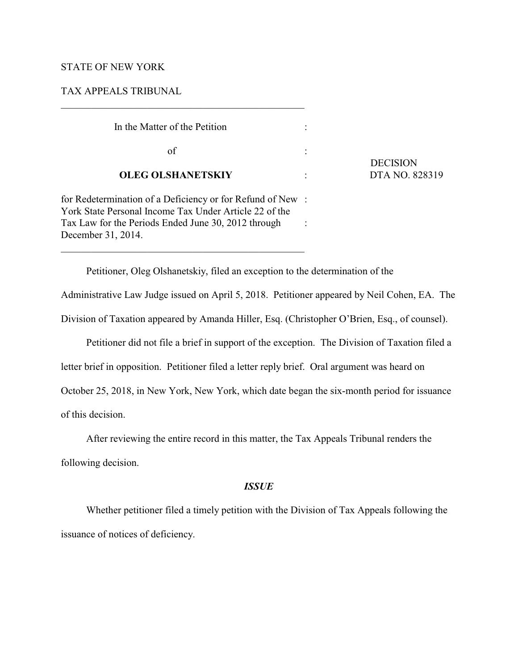### STATE OF NEW YORK

# TAX APPEALS TRIBUNAL

| In the Matter of the Petition                                                                                                                                                                    |  |
|--------------------------------------------------------------------------------------------------------------------------------------------------------------------------------------------------|--|
| of                                                                                                                                                                                               |  |
| <b>OLEG OLSHANETSKIY</b>                                                                                                                                                                         |  |
| for Redetermination of a Deficiency or for Refund of New:<br>York State Personal Income Tax Under Article 22 of the<br>Tax Law for the Periods Ended June 30, 2012 through<br>December 31, 2014. |  |

\_\_\_\_\_\_\_\_\_\_\_\_\_\_\_\_\_\_\_\_\_\_\_\_\_\_\_\_\_\_\_\_\_\_\_\_\_\_\_\_\_\_\_\_\_\_\_\_

**DECISION OLEG OLSHANETSKIY** : DTA NO. 828319

Petitioner, Oleg Olshanetskiy, filed an exception to the determination of the

Administrative Law Judge issued on April 5, 2018. Petitioner appeared by Neil Cohen, EA. The Division of Taxation appeared by Amanda Hiller, Esq. (Christopher O'Brien, Esq., of counsel).

Petitioner did not file a brief in support of the exception. The Division of Taxation filed a

letter brief in opposition. Petitioner filed a letter reply brief. Oral argument was heard on

October 25, 2018, in New York, New York, which date began the six-month period for issuance

of this decision.

After reviewing the entire record in this matter, the Tax Appeals Tribunal renders the

following decision.

## *ISSUE*

Whether petitioner filed a timely petition with the Division of Tax Appeals following the issuance of notices of deficiency.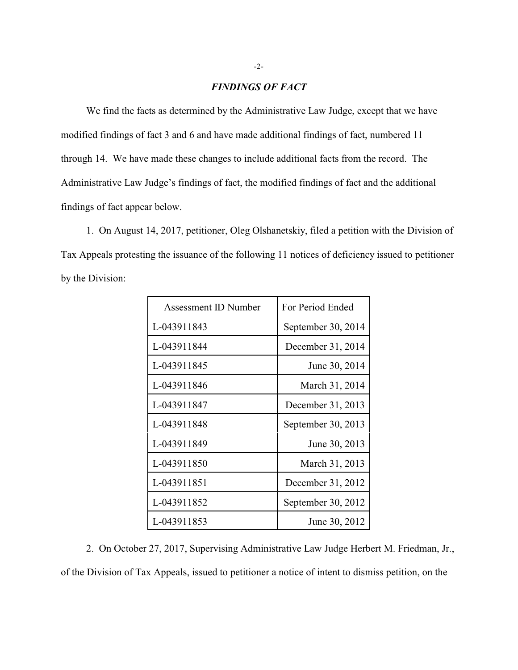### *FINDINGS OF FACT*

We find the facts as determined by the Administrative Law Judge, except that we have modified findings of fact 3 and 6 and have made additional findings of fact, numbered 11 through 14. We have made these changes to include additional facts from the record. The Administrative Law Judge's findings of fact, the modified findings of fact and the additional findings of fact appear below.

1. On August 14, 2017, petitioner, Oleg Olshanetskiy, filed a petition with the Division of Tax Appeals protesting the issuance of the following 11 notices of deficiency issued to petitioner by the Division:

| Assessment ID Number | For Period Ended   |
|----------------------|--------------------|
| L-043911843          | September 30, 2014 |
| L-043911844          | December 31, 2014  |
| L-043911845          | June 30, 2014      |
| L-043911846          | March 31, 2014     |
| L-043911847          | December 31, 2013  |
| L-043911848          | September 30, 2013 |
| L-043911849          | June 30, 2013      |
| L-043911850          | March 31, 2013     |
| L-043911851          | December 31, 2012  |
| L-043911852          | September 30, 2012 |
| L-043911853          | June 30, 2012      |

2. On October 27, 2017, Supervising Administrative Law Judge Herbert M. Friedman, Jr., of the Division of Tax Appeals, issued to petitioner a notice of intent to dismiss petition, on the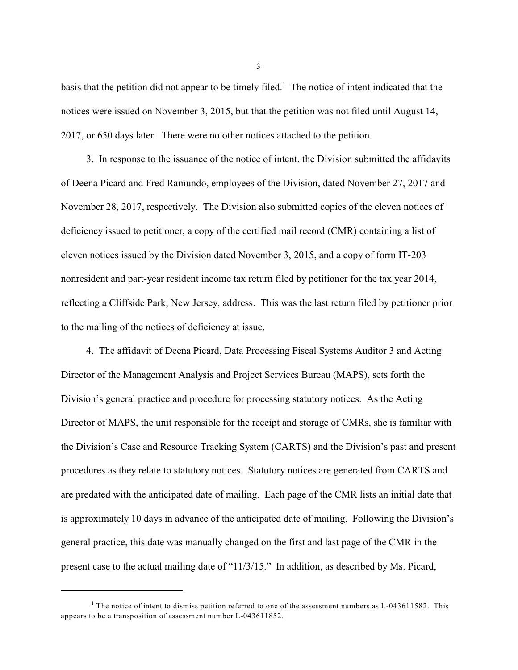basis that the petition did not appear to be timely filed.<sup>1</sup> The notice of intent indicated that the notices were issued on November 3, 2015, but that the petition was not filed until August 14, 2017, or 650 days later. There were no other notices attached to the petition.

3. In response to the issuance of the notice of intent, the Division submitted the affidavits of Deena Picard and Fred Ramundo, employees of the Division, dated November 27, 2017 and November 28, 2017, respectively. The Division also submitted copies of the eleven notices of deficiency issued to petitioner, a copy of the certified mail record (CMR) containing a list of eleven notices issued by the Division dated November 3, 2015, and a copy of form IT-203 nonresident and part-year resident income tax return filed by petitioner for the tax year 2014, reflecting a Cliffside Park, New Jersey, address. This was the last return filed by petitioner prior to the mailing of the notices of deficiency at issue.

4. The affidavit of Deena Picard, Data Processing Fiscal Systems Auditor 3 and Acting Director of the Management Analysis and Project Services Bureau (MAPS), sets forth the Division's general practice and procedure for processing statutory notices. As the Acting Director of MAPS, the unit responsible for the receipt and storage of CMRs, she is familiar with the Division's Case and Resource Tracking System (CARTS) and the Division's past and present procedures as they relate to statutory notices. Statutory notices are generated from CARTS and are predated with the anticipated date of mailing. Each page of the CMR lists an initial date that is approximately 10 days in advance of the anticipated date of mailing. Following the Division's general practice, this date was manually changed on the first and last page of the CMR in the present case to the actual mailing date of "11/3/15." In addition, as described by Ms. Picard,

-3-

<sup>&</sup>lt;sup>1</sup> The notice of intent to dismiss petition referred to one of the assessment numbers as L-043611582. This appears to be a transposition of assessment number L-043611852.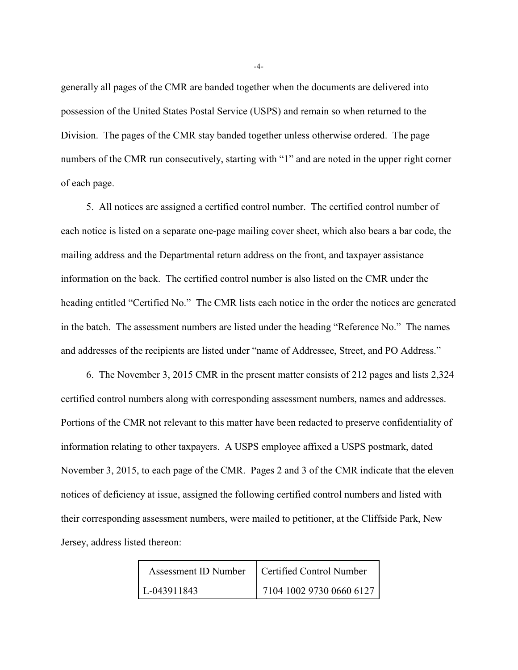generally all pages of the CMR are banded together when the documents are delivered into possession of the United States Postal Service (USPS) and remain so when returned to the Division. The pages of the CMR stay banded together unless otherwise ordered. The page numbers of the CMR run consecutively, starting with "1" and are noted in the upper right corner of each page.

5. All notices are assigned a certified control number. The certified control number of each notice is listed on a separate one-page mailing cover sheet, which also bears a bar code, the mailing address and the Departmental return address on the front, and taxpayer assistance information on the back. The certified control number is also listed on the CMR under the heading entitled "Certified No." The CMR lists each notice in the order the notices are generated in the batch. The assessment numbers are listed under the heading "Reference No." The names and addresses of the recipients are listed under "name of Addressee, Street, and PO Address."

6. The November 3, 2015 CMR in the present matter consists of 212 pages and lists 2,324 certified control numbers along with corresponding assessment numbers, names and addresses. Portions of the CMR not relevant to this matter have been redacted to preserve confidentiality of information relating to other taxpayers. A USPS employee affixed a USPS postmark, dated November 3, 2015, to each page of the CMR. Pages 2 and 3 of the CMR indicate that the eleven notices of deficiency at issue, assigned the following certified control numbers and listed with their corresponding assessment numbers, were mailed to petitioner, at the Cliffside Park, New Jersey, address listed thereon:

| Assessment ID Number | Certified Control Number |
|----------------------|--------------------------|
| $L-043911843$        | 7104 1002 9730 0660 6127 |

-4-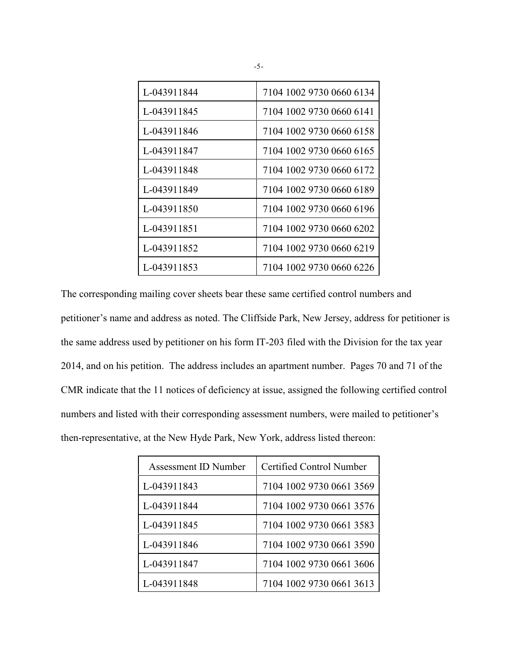| L-043911844 | 7104 1002 9730 0660 6134 |
|-------------|--------------------------|
| L-043911845 | 7104 1002 9730 0660 6141 |
| L-043911846 | 7104 1002 9730 0660 6158 |
| L-043911847 | 7104 1002 9730 0660 6165 |
| L-043911848 | 7104 1002 9730 0660 6172 |
| L-043911849 | 7104 1002 9730 0660 6189 |
| L-043911850 | 7104 1002 9730 0660 6196 |
| L-043911851 | 7104 1002 9730 0660 6202 |
| L-043911852 | 7104 1002 9730 0660 6219 |
| L-043911853 | 7104 1002 9730 0660 6226 |

The corresponding mailing cover sheets bear these same certified control numbers and petitioner's name and address as noted. The Cliffside Park, New Jersey, address for petitioner is the same address used by petitioner on his form IT-203 filed with the Division for the tax year 2014, and on his petition. The address includes an apartment number. Pages 70 and 71 of the CMR indicate that the 11 notices of deficiency at issue, assigned the following certified control numbers and listed with their corresponding assessment numbers, were mailed to petitioner's then-representative, at the New Hyde Park, New York, address listed thereon:

| Assessment ID Number | Certified Control Number |
|----------------------|--------------------------|
| L-043911843          | 7104 1002 9730 0661 3569 |
| L-043911844          | 7104 1002 9730 0661 3576 |
| L-043911845          | 7104 1002 9730 0661 3583 |
| L-043911846          | 7104 1002 9730 0661 3590 |
| L-043911847          | 7104 1002 9730 0661 3606 |
| L-043911848          | 7104 1002 9730 0661 3613 |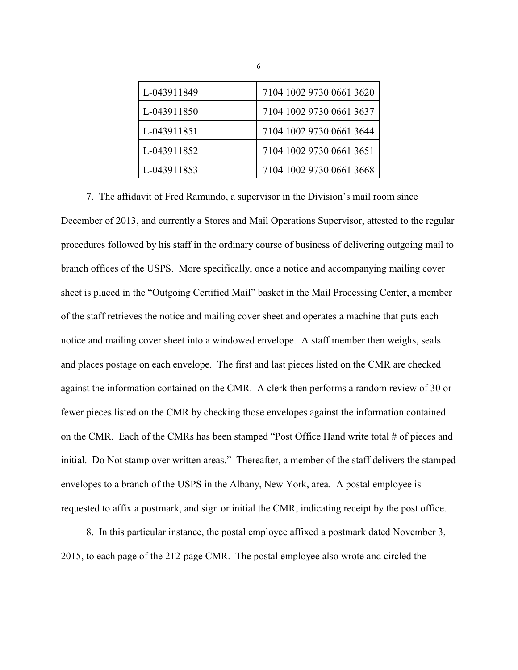| L-043911849 | 7104 1002 9730 0661 3620 |
|-------------|--------------------------|
| L-043911850 | 7104 1002 9730 0661 3637 |
| L-043911851 | 7104 1002 9730 0661 3644 |
| L-043911852 | 7104 1002 9730 0661 3651 |
| L-043911853 | 7104 1002 9730 0661 3668 |

7. The affidavit of Fred Ramundo, a supervisor in the Division's mail room since December of 2013, and currently a Stores and Mail Operations Supervisor, attested to the regular procedures followed by his staff in the ordinary course of business of delivering outgoing mail to branch offices of the USPS. More specifically, once a notice and accompanying mailing cover sheet is placed in the "Outgoing Certified Mail" basket in the Mail Processing Center, a member of the staff retrieves the notice and mailing cover sheet and operates a machine that puts each notice and mailing cover sheet into a windowed envelope. A staff member then weighs, seals and places postage on each envelope. The first and last pieces listed on the CMR are checked against the information contained on the CMR. A clerk then performs a random review of 30 or fewer pieces listed on the CMR by checking those envelopes against the information contained on the CMR. Each of the CMRs has been stamped "Post Office Hand write total # of pieces and initial. Do Not stamp over written areas." Thereafter, a member of the staff delivers the stamped envelopes to a branch of the USPS in the Albany, New York, area. A postal employee is requested to affix a postmark, and sign or initial the CMR, indicating receipt by the post office.

8. In this particular instance, the postal employee affixed a postmark dated November 3, 2015, to each page of the 212-page CMR. The postal employee also wrote and circled the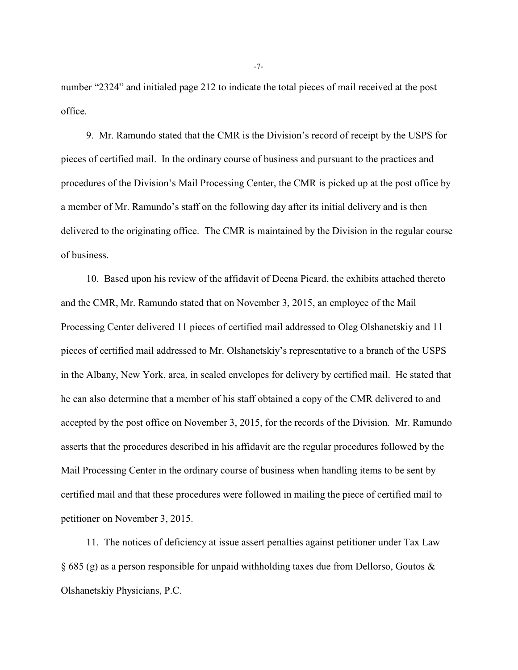number "2324" and initialed page 212 to indicate the total pieces of mail received at the post office.

9. Mr. Ramundo stated that the CMR is the Division's record of receipt by the USPS for pieces of certified mail. In the ordinary course of business and pursuant to the practices and procedures of the Division's Mail Processing Center, the CMR is picked up at the post office by a member of Mr. Ramundo's staff on the following day after its initial delivery and is then delivered to the originating office. The CMR is maintained by the Division in the regular course of business.

10. Based upon his review of the affidavit of Deena Picard, the exhibits attached thereto and the CMR, Mr. Ramundo stated that on November 3, 2015, an employee of the Mail Processing Center delivered 11 pieces of certified mail addressed to Oleg Olshanetskiy and 11 pieces of certified mail addressed to Mr. Olshanetskiy's representative to a branch of the USPS in the Albany, New York, area, in sealed envelopes for delivery by certified mail. He stated that he can also determine that a member of his staff obtained a copy of the CMR delivered to and accepted by the post office on November 3, 2015, for the records of the Division. Mr. Ramundo asserts that the procedures described in his affidavit are the regular procedures followed by the Mail Processing Center in the ordinary course of business when handling items to be sent by certified mail and that these procedures were followed in mailing the piece of certified mail to petitioner on November 3, 2015.

11. The notices of deficiency at issue assert penalties against petitioner under Tax Law § 685 (g) as a person responsible for unpaid withholding taxes due from Dellorso, Goutos & Olshanetskiy Physicians, P.C.

-7-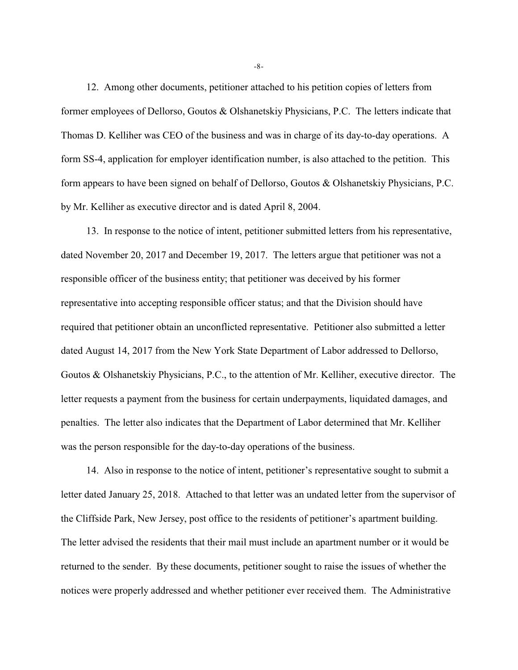12. Among other documents, petitioner attached to his petition copies of letters from former employees of Dellorso, Goutos & Olshanetskiy Physicians, P.C. The letters indicate that Thomas D. Kelliher was CEO of the business and was in charge of its day-to-day operations. A form SS-4, application for employer identification number, is also attached to the petition. This form appears to have been signed on behalf of Dellorso, Goutos & Olshanetskiy Physicians, P.C. by Mr. Kelliher as executive director and is dated April 8, 2004.

13. In response to the notice of intent, petitioner submitted letters from his representative, dated November 20, 2017 and December 19, 2017. The letters argue that petitioner was not a responsible officer of the business entity; that petitioner was deceived by his former representative into accepting responsible officer status; and that the Division should have required that petitioner obtain an unconflicted representative. Petitioner also submitted a letter dated August 14, 2017 from the New York State Department of Labor addressed to Dellorso, Goutos & Olshanetskiy Physicians, P.C., to the attention of Mr. Kelliher, executive director. The letter requests a payment from the business for certain underpayments, liquidated damages, and penalties. The letter also indicates that the Department of Labor determined that Mr. Kelliher was the person responsible for the day-to-day operations of the business.

14. Also in response to the notice of intent, petitioner's representative sought to submit a letter dated January 25, 2018. Attached to that letter was an undated letter from the supervisor of the Cliffside Park, New Jersey, post office to the residents of petitioner's apartment building. The letter advised the residents that their mail must include an apartment number or it would be returned to the sender. By these documents, petitioner sought to raise the issues of whether the notices were properly addressed and whether petitioner ever received them. The Administrative

-8-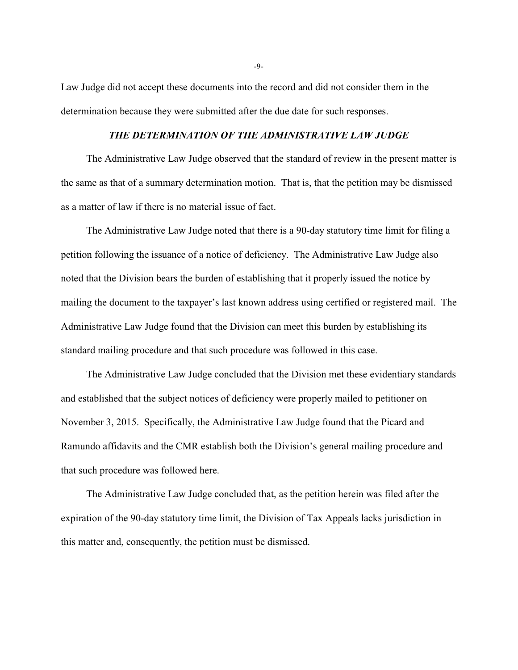Law Judge did not accept these documents into the record and did not consider them in the determination because they were submitted after the due date for such responses.

## *THE DETERMINATION OF THE ADMINISTRATIVE LAW JUDGE*

The Administrative Law Judge observed that the standard of review in the present matter is the same as that of a summary determination motion. That is, that the petition may be dismissed as a matter of law if there is no material issue of fact.

The Administrative Law Judge noted that there is a 90-day statutory time limit for filing a petition following the issuance of a notice of deficiency. The Administrative Law Judge also noted that the Division bears the burden of establishing that it properly issued the notice by mailing the document to the taxpayer's last known address using certified or registered mail. The Administrative Law Judge found that the Division can meet this burden by establishing its standard mailing procedure and that such procedure was followed in this case.

The Administrative Law Judge concluded that the Division met these evidentiary standards and established that the subject notices of deficiency were properly mailed to petitioner on November 3, 2015. Specifically, the Administrative Law Judge found that the Picard and Ramundo affidavits and the CMR establish both the Division's general mailing procedure and that such procedure was followed here.

The Administrative Law Judge concluded that, as the petition herein was filed after the expiration of the 90-day statutory time limit, the Division of Tax Appeals lacks jurisdiction in this matter and, consequently, the petition must be dismissed.

-9-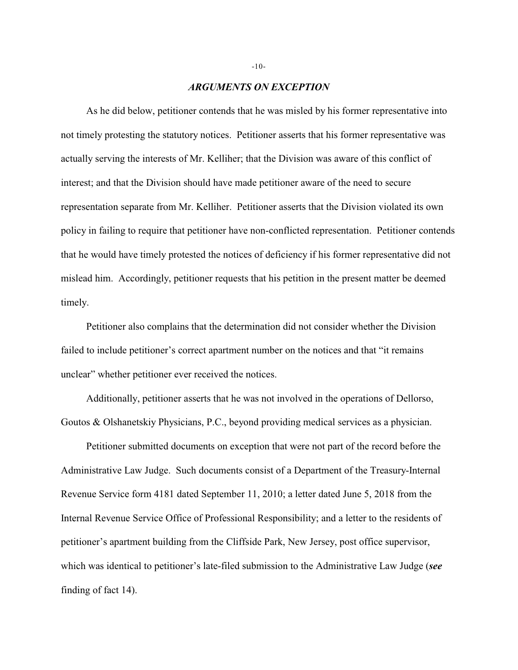#### *ARGUMENTS ON EXCEPTION*

As he did below, petitioner contends that he was misled by his former representative into not timely protesting the statutory notices. Petitioner asserts that his former representative was actually serving the interests of Mr. Kelliher; that the Division was aware of this conflict of interest; and that the Division should have made petitioner aware of the need to secure representation separate from Mr. Kelliher. Petitioner asserts that the Division violated its own policy in failing to require that petitioner have non-conflicted representation. Petitioner contends that he would have timely protested the notices of deficiency if his former representative did not mislead him. Accordingly, petitioner requests that his petition in the present matter be deemed timely.

Petitioner also complains that the determination did not consider whether the Division failed to include petitioner's correct apartment number on the notices and that "it remains unclear" whether petitioner ever received the notices.

Additionally, petitioner asserts that he was not involved in the operations of Dellorso, Goutos & Olshanetskiy Physicians, P.C., beyond providing medical services as a physician.

Petitioner submitted documents on exception that were not part of the record before the Administrative Law Judge. Such documents consist of a Department of the Treasury-Internal Revenue Service form 4181 dated September 11, 2010; a letter dated June 5, 2018 from the Internal Revenue Service Office of Professional Responsibility; and a letter to the residents of petitioner's apartment building from the Cliffside Park, New Jersey, post office supervisor, which was identical to petitioner's late-filed submission to the Administrative Law Judge (*see* finding of fact 14).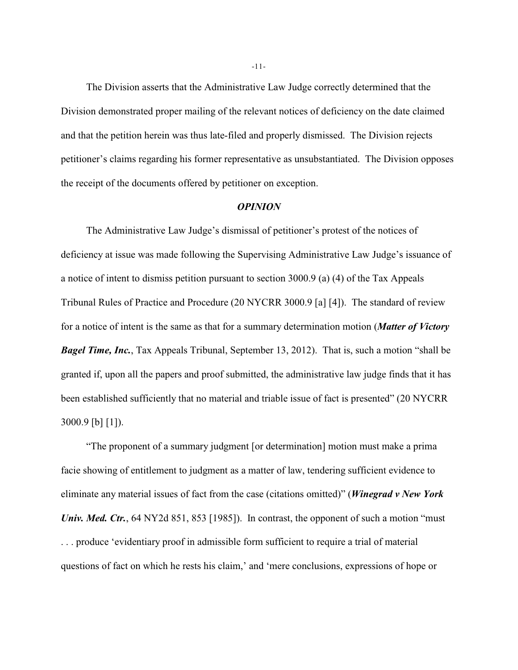The Division asserts that the Administrative Law Judge correctly determined that the Division demonstrated proper mailing of the relevant notices of deficiency on the date claimed and that the petition herein was thus late-filed and properly dismissed. The Division rejects petitioner's claims regarding his former representative as unsubstantiated. The Division opposes the receipt of the documents offered by petitioner on exception.

#### *OPINION*

The Administrative Law Judge's dismissal of petitioner's protest of the notices of deficiency at issue was made following the Supervising Administrative Law Judge's issuance of a notice of intent to dismiss petition pursuant to section 3000.9 (a) (4) of the Tax Appeals Tribunal Rules of Practice and Procedure (20 NYCRR 3000.9 [a] [4]). The standard of review for a notice of intent is the same as that for a summary determination motion (*Matter of Victory Bagel Time, Inc.*, Tax Appeals Tribunal, September 13, 2012). That is, such a motion "shall be granted if, upon all the papers and proof submitted, the administrative law judge finds that it has been established sufficiently that no material and triable issue of fact is presented" (20 NYCRR 3000.9 [b] [1]).

"The proponent of a summary judgment [or determination] motion must make a prima facie showing of entitlement to judgment as a matter of law, tendering sufficient evidence to eliminate any material issues of fact from the case (citations omitted)" (*Winegrad v New York Univ. Med. Ctr.*, 64 NY2d 851, 853 [1985]). In contrast, the opponent of such a motion "must" . . . produce 'evidentiary proof in admissible form sufficient to require a trial of material questions of fact on which he rests his claim,' and 'mere conclusions, expressions of hope or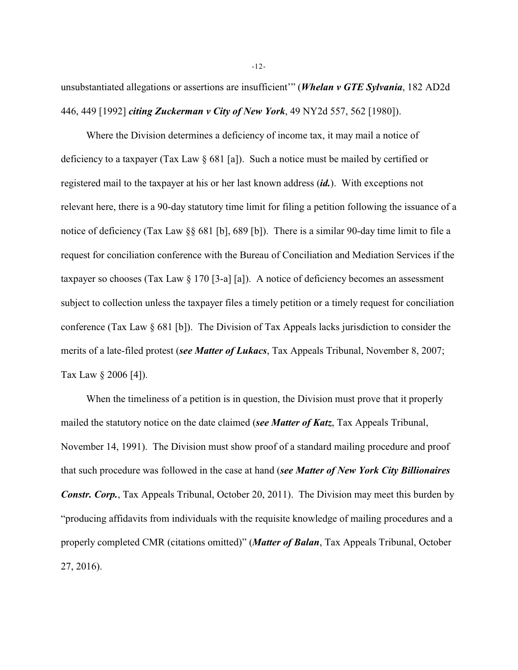unsubstantiated allegations or assertions are insufficient'" (*Whelan v GTE Sylvania*, 182 AD2d 446, 449 [1992] *citing Zuckerman v City of New York*, 49 NY2d 557, 562 [1980]).

Where the Division determines a deficiency of income tax, it may mail a notice of deficiency to a taxpayer (Tax Law  $\S 681$  [a]). Such a notice must be mailed by certified or registered mail to the taxpayer at his or her last known address (*id.*). With exceptions not relevant here, there is a 90-day statutory time limit for filing a petition following the issuance of a notice of deficiency (Tax Law §§ 681 [b], 689 [b]). There is a similar 90-day time limit to file a request for conciliation conference with the Bureau of Conciliation and Mediation Services if the taxpayer so chooses (Tax Law  $\S 170$  [3-a] [a]). A notice of deficiency becomes an assessment subject to collection unless the taxpayer files a timely petition or a timely request for conciliation conference (Tax Law § 681 [b]). The Division of Tax Appeals lacks jurisdiction to consider the merits of a late-filed protest (*see Matter of Lukacs*, Tax Appeals Tribunal, November 8, 2007; Tax Law § 2006 [4]).

When the timeliness of a petition is in question, the Division must prove that it properly mailed the statutory notice on the date claimed (*see Matter of Katz*, Tax Appeals Tribunal, November 14, 1991). The Division must show proof of a standard mailing procedure and proof that such procedure was followed in the case at hand (*see Matter of New York City Billionaires Constr. Corp.*, Tax Appeals Tribunal, October 20, 2011). The Division may meet this burden by "producing affidavits from individuals with the requisite knowledge of mailing procedures and a properly completed CMR (citations omitted)" (*Matter of Balan*, Tax Appeals Tribunal, October 27, 2016).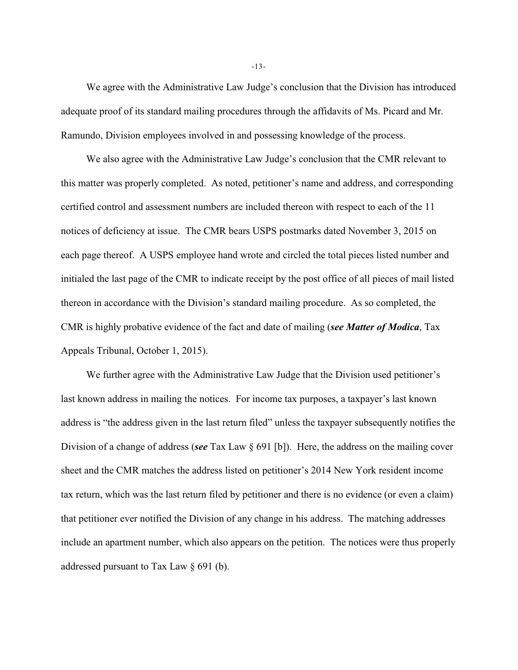We agree with the Administrative Law Judge's conclusion that the Division has introduced adequate proof of its standard mailing procedures through the affidavits of Ms. Picard and Mr. Ramundo, Division employees involved in and possessing knowledge of the process.

We also agree with the Administrative Law Judge's conclusion that the CMR relevant to this matter was properly completed. As noted, petitioner's name and address, and corresponding certified control and assessment numbers are included thereon with respect to each of the 11 notices of deficiency at issue. The CMR bears USPS postmarks dated November 3, 2015 on each page thereof. A USPS employee hand wrote and circled the total pieces listed number and initialed the last page of the CMR to indicate receipt by the post office of all pieces of mail listed thereon in accordance with the Division's standard mailing procedure. As so completed, the CMR is highly probative evidence of the fact and date of mailing (*see Matter of Modica*, Tax Appeals Tribunal, October 1, 2015).

We further agree with the Administrative Law Judge that the Division used petitioner's last known address in mailing the notices. For income tax purposes, a taxpayer's last known address is "the address given in the last return filed" unless the taxpayer subsequently notifies the Division of a change of address (*see* Tax Law § 691 [b]). Here, the address on the mailing cover sheet and the CMR matches the address listed on petitioner's 2014 New York resident income tax return, which was the last return filed by petitioner and there is no evidence (or even a claim) that petitioner ever notified the Division of any change in his address. The matching addresses include an apartment number, which also appears on the petition. The notices were thus properly addressed pursuant to Tax Law § 691 (b).

-13-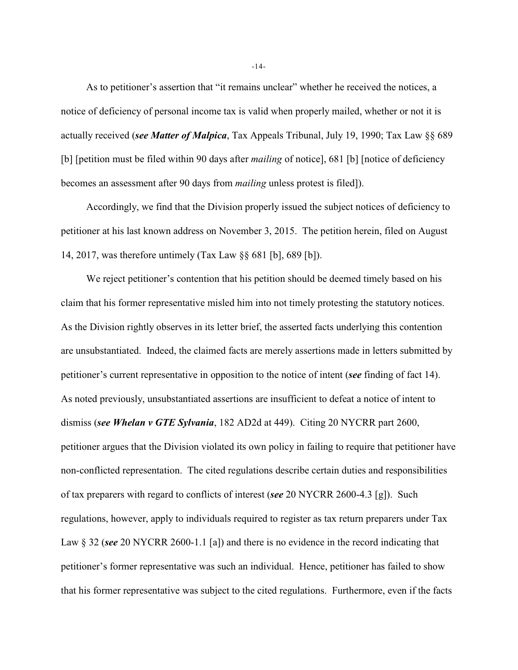As to petitioner's assertion that "it remains unclear" whether he received the notices, a notice of deficiency of personal income tax is valid when properly mailed, whether or not it is actually received (*see Matter of Malpica*, Tax Appeals Tribunal, July 19, 1990; Tax Law §§ 689 [b] [petition must be filed within 90 days after *mailing* of notice], 681 [b] [notice of deficiency becomes an assessment after 90 days from *mailing* unless protest is filed]).

Accordingly, we find that the Division properly issued the subject notices of deficiency to petitioner at his last known address on November 3, 2015. The petition herein, filed on August 14, 2017, was therefore untimely (Tax Law §§ 681 [b], 689 [b]).

We reject petitioner's contention that his petition should be deemed timely based on his claim that his former representative misled him into not timely protesting the statutory notices. As the Division rightly observes in its letter brief, the asserted facts underlying this contention are unsubstantiated. Indeed, the claimed facts are merely assertions made in letters submitted by petitioner's current representative in opposition to the notice of intent (*see* finding of fact 14). As noted previously, unsubstantiated assertions are insufficient to defeat a notice of intent to dismiss (*see Whelan v GTE Sylvania*, 182 AD2d at 449). Citing 20 NYCRR part 2600, petitioner argues that the Division violated its own policy in failing to require that petitioner have non-conflicted representation. The cited regulations describe certain duties and responsibilities of tax preparers with regard to conflicts of interest (*see* 20 NYCRR 2600-4.3 [g]). Such regulations, however, apply to individuals required to register as tax return preparers under Tax Law § 32 (*see* 20 NYCRR 2600-1.1 [a]) and there is no evidence in the record indicating that petitioner's former representative was such an individual. Hence, petitioner has failed to show that his former representative was subject to the cited regulations. Furthermore, even if the facts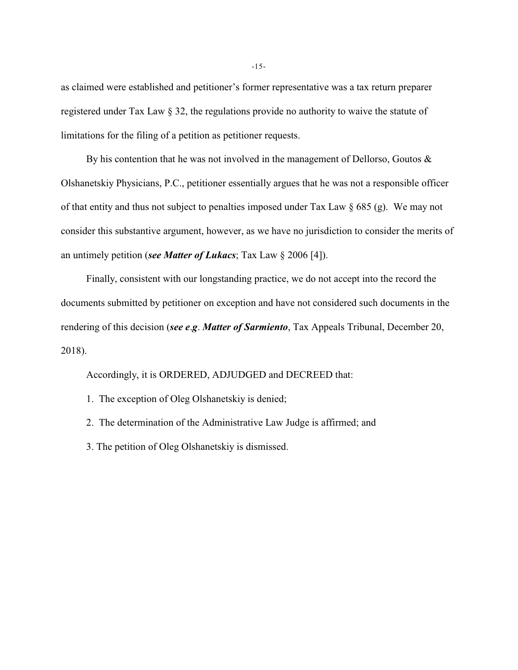as claimed were established and petitioner's former representative was a tax return preparer registered under Tax Law § 32, the regulations provide no authority to waive the statute of limitations for the filing of a petition as petitioner requests.

By his contention that he was not involved in the management of Dellorso, Goutos  $\&$ Olshanetskiy Physicians, P.C., petitioner essentially argues that he was not a responsible officer of that entity and thus not subject to penalties imposed under Tax Law § 685 (g). We may not consider this substantive argument, however, as we have no jurisdiction to consider the merits of an untimely petition (*see Matter of Lukacs*; Tax Law § 2006 [4]).

Finally, consistent with our longstanding practice, we do not accept into the record the documents submitted by petitioner on exception and have not considered such documents in the rendering of this decision (*see e*.*g*. *Matter of Sarmiento*, Tax Appeals Tribunal, December 20, 2018).

Accordingly, it is ORDERED, ADJUDGED and DECREED that:

1. The exception of Oleg Olshanetskiy is denied;

2. The determination of the Administrative Law Judge is affirmed; and

3. The petition of Oleg Olshanetskiy is dismissed.